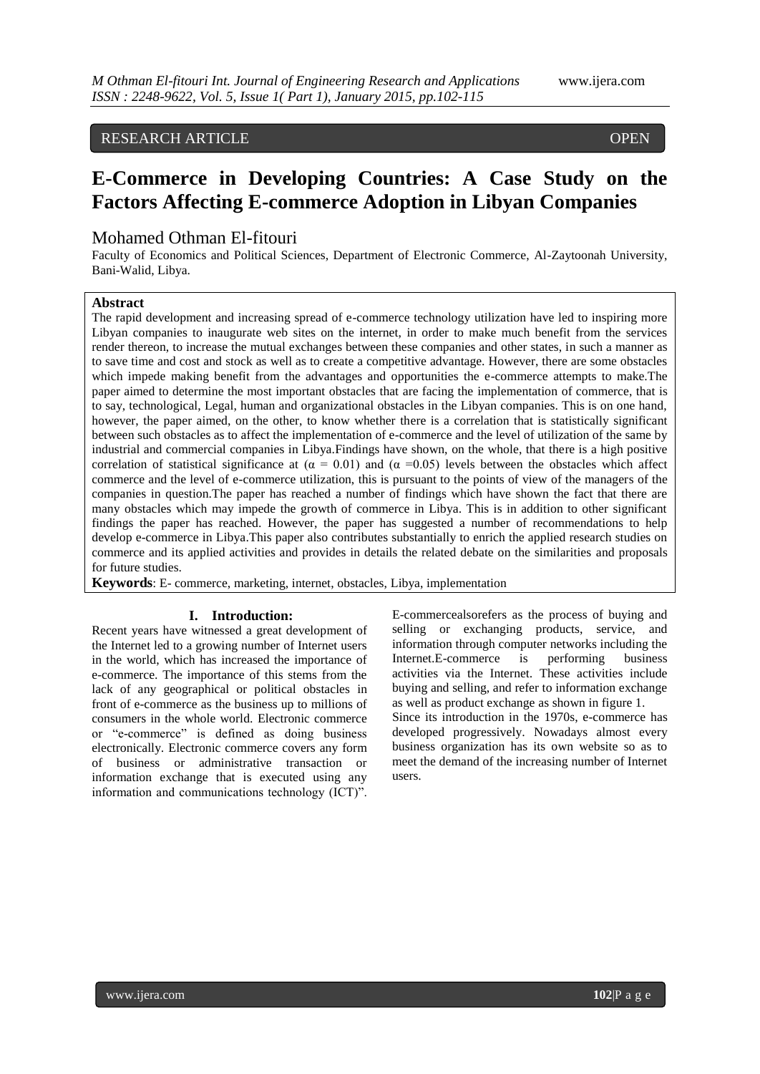# RESEARCH ARTICLE OPEN

# **E-Commerce in Developing Countries: A Case Study on the Factors Affecting E-commerce Adoption in Libyan Companies**

# Mohamed Othman El-fitouri

Faculty of Economics and Political Sciences, Department of Electronic Commerce, Al-Zaytoonah University, Bani-Walid, Libya.

# **Abstract**

 $\overline{\phantom{a}}$ 

The rapid development and increasing spread of e-commerce technology utilization have led to inspiring more Libyan companies to inaugurate web sites on the internet, in order to make much benefit from the services render thereon, to increase the mutual exchanges between these companies and other states, in such a manner as to save time and cost and stock as well as to create a competitive advantage. However, there are some obstacles which impede making benefit from the advantages and opportunities the e-commerce attempts to make.The paper aimed to determine the most important obstacles that are facing the implementation of commerce, that is to say, technological, Legal, human and organizational obstacles in the Libyan companies. This is on one hand, however, the paper aimed, on the other, to know whether there is a correlation that is statistically significant between such obstacles as to affect the implementation of e-commerce and the level of utilization of the same by industrial and commercial companies in Libya.Findings have shown, on the whole, that there is a high positive correlation of statistical significance at ( $\alpha = 0.01$ ) and ( $\alpha = 0.05$ ) levels between the obstacles which affect commerce and the level of e-commerce utilization, this is pursuant to the points of view of the managers of the companies in question.The paper has reached a number of findings which have shown the fact that there are many obstacles which may impede the growth of commerce in Libya. This is in addition to other significant findings the paper has reached. However, the paper has suggested a number of recommendations to help develop e-commerce in Libya.This paper also contributes substantially to enrich the applied research studies on commerce and its applied activities and provides in details the related debate on the similarities and proposals for future studies.

**Keywords**: E- commerce, marketing, internet, obstacles, Libya, implementation

#### **I. Introduction:**

Recent years have witnessed a great development of the Internet led to a growing number of Internet users in the world, which has increased the importance of e-commerce. The importance of this stems from the lack of any geographical or political obstacles in front of e-commerce as the business up to millions of consumers in the whole world. Electronic commerce or "e-commerce" is defined as doing business electronically. Electronic commerce covers any form of business or administrative transaction or information exchange that is executed using any information and communications technology (ICT)".

E-commercealsorefers as the process of buying and selling or exchanging products, service, and information through computer networks including the Internet.E-commerce is performing business activities via the Internet. These activities include buying and selling, and refer to information exchange as well as product exchange as shown in figure 1. Since its introduction in the 1970s, e-commerce has developed progressively. Nowadays almost every business organization has its own website so as to meet the demand of the increasing number of Internet users.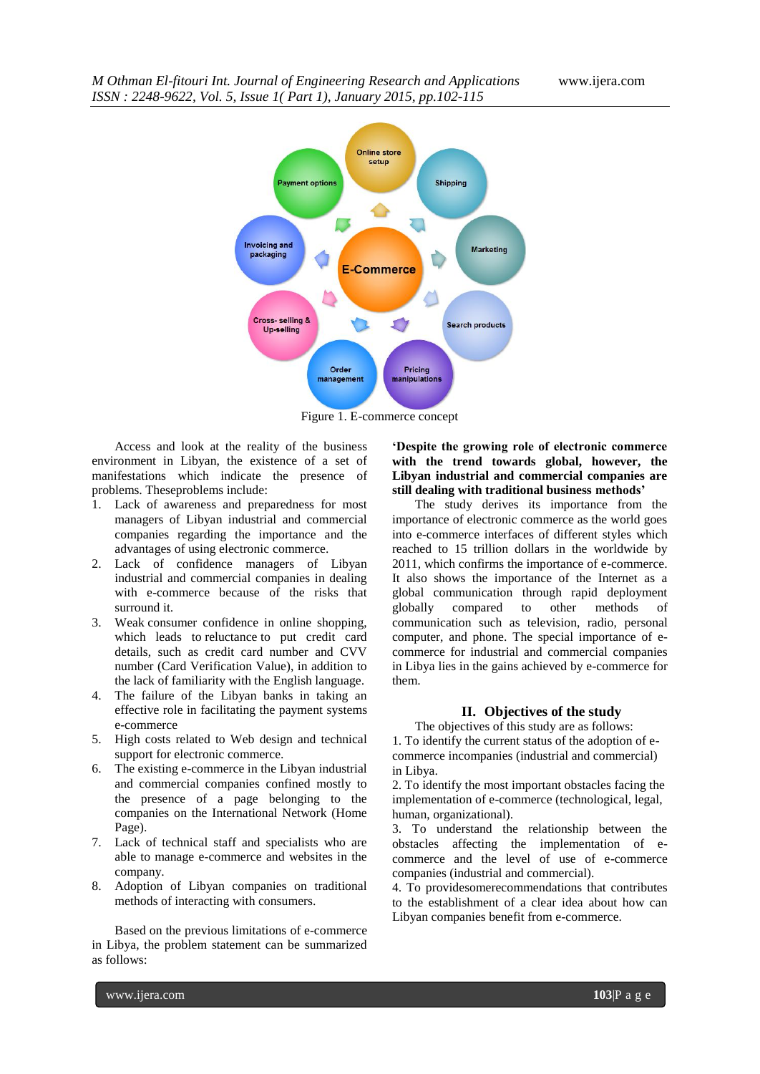

Figure 1. E-commerce concept

Access and look at the reality of the business environment in Libyan, the existence of a set of manifestations which indicate the presence of problems. Theseproblems include:

- 1. Lack of awareness and preparedness for most managers of Libyan industrial and commercial companies regarding the importance and the advantages of using electronic commerce.
- 2. Lack of confidence managers of Libyan industrial and commercial companies in dealing with e-commerce because of the risks that surround it.
- 3. Weak consumer confidence in online shopping, which leads to reluctance to put credit card details, such as credit card number and CVV number (Card Verification Value), in addition to the lack of familiarity with the English language.
- 4. The failure of the Libyan banks in taking an effective role in facilitating the payment systems e-commerce
- 5. High costs related to Web design and technical support for electronic commerce.
- 6. The existing e-commerce in the Libyan industrial and commercial companies confined mostly to the presence of a page belonging to the companies on the International Network (Home Page).
- 7. Lack of technical staff and specialists who are able to manage e-commerce and websites in the company.
- 8. Adoption of Libyan companies on traditional methods of interacting with consumers.

Based on the previous limitations of e-commerce in Libya, the problem statement can be summarized as follows:

**'Despite the growing role of electronic commerce with the trend towards global, however, the Libyan industrial and commercial companies are still dealing with traditional business methods'** 

The study derives its importance from the importance of electronic commerce as the world goes into e-commerce interfaces of different styles which reached to 15 trillion dollars in the worldwide by 2011, which confirms the importance of e-commerce. It also shows the importance of the Internet as a global communication through rapid deployment globally compared to other methods of communication such as television, radio, personal computer, and phone. The special importance of ecommerce for industrial and commercial companies in Libya lies in the gains achieved by e-commerce for them.

### **II. Objectives of the study**

The objectives of this study are as follows: 1. To identify the current status of the adoption of ecommerce incompanies (industrial and commercial) in Libya.

2. To identify the most important obstacles facing the implementation of e-commerce (technological, legal, human, organizational).

3. To understand the relationship between the obstacles affecting the implementation of ecommerce and the level of use of e-commerce companies (industrial and commercial).

4. To providesomerecommendations that contributes to the establishment of a clear idea about how can Libyan companies benefit from e-commerce.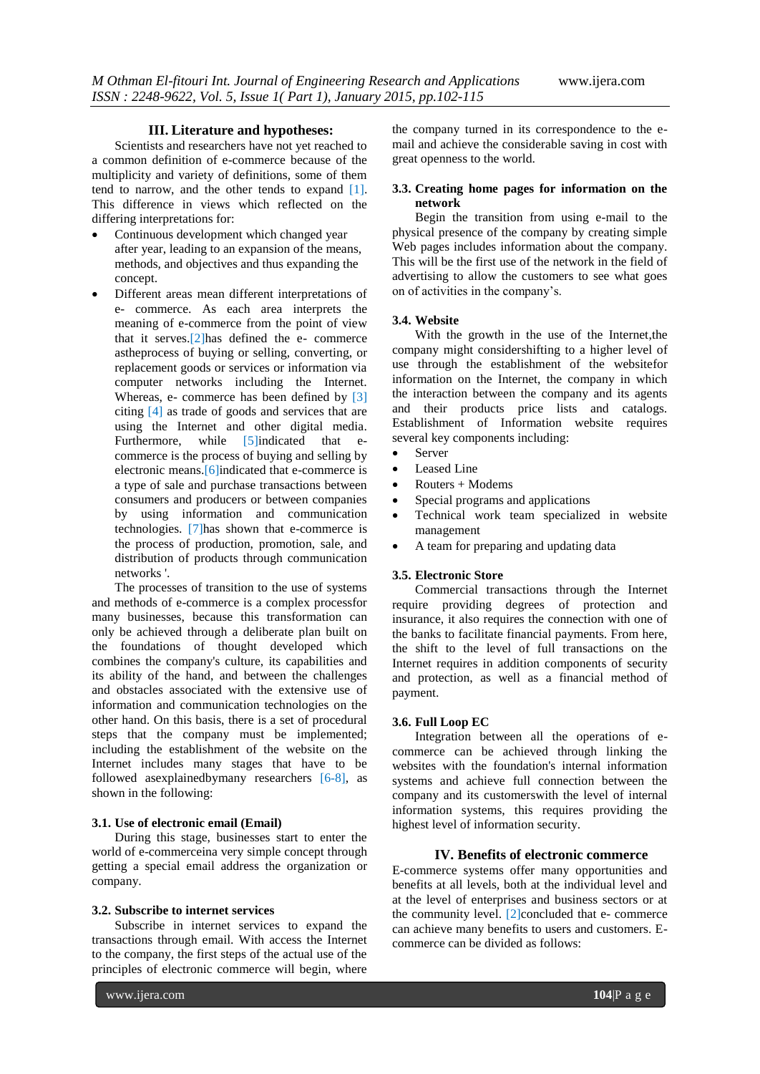#### **III. Literature and hypotheses:**

Scientists and researchers have not yet reached to a common definition of e-commerce because of the multiplicity and variety of definitions, some of them tend to narrow, and the other tends to expand [1]. This difference in views which reflected on the differing interpretations for:

- Continuous development which changed year after year, leading to an expansion of the means, methods, and objectives and thus expanding the concept.
- Different areas mean different interpretations of e- commerce. As each area interprets the meaning of e-commerce from the point of view that it serves.[2]has defined the e- commerce astheprocess of buying or selling, converting, or replacement goods or services or information via computer networks including the Internet. Whereas, e- commerce has been defined by [3] citing [4] as trade of goods and services that are using the Internet and other digital media. Furthermore, while [5]indicated that ecommerce is the process of buying and selling by electronic means.[6]indicated that e-commerce is a type of sale and purchase transactions between consumers and producers or between companies by using information and communication technologies. [7]has shown that e-commerce is the process of production, promotion, sale, and distribution of products through communication networks '.

The processes of transition to the use of systems and methods of e-commerce is a complex processfor many businesses, because this transformation can only be achieved through a deliberate plan built on the foundations of thought developed which combines the company's culture, its capabilities and its ability of the hand, and between the challenges and obstacles associated with the extensive use of information and communication technologies on the other hand. On this basis, there is a set of procedural steps that the company must be implemented; including the establishment of the website on the Internet includes many stages that have to be followed asexplainedbymany researchers [6-8], as shown in the following:

#### **3.1. Use of electronic email (Email)**

During this stage, businesses start to enter the world of e-commerceina very simple concept through getting a special email address the organization or company.

#### **3.2. Subscribe to internet services**

Subscribe in internet services to expand the transactions through email. With access the Internet to the company, the first steps of the actual use of the principles of electronic commerce will begin, where

the company turned in its correspondence to the email and achieve the considerable saving in cost with great openness to the world.

### **3.3. Creating home pages for information on the network**

Begin the transition from using e-mail to the physical presence of the company by creating simple Web pages includes information about the company. This will be the first use of the network in the field of advertising to allow the customers to see what goes on of activities in the company"s.

#### **3.4. Website**

With the growth in the use of the Internet, the company might considershifting to a higher level of use through the establishment of the websitefor information on the Internet, the company in which the interaction between the company and its agents and their products price lists and catalogs. Establishment of Information website requires several key components including:

- Server
- Leased Line
- $\bullet$  Routers + Modems
- Special programs and applications
- Technical work team specialized in website management
- A team for preparing and updating data

### **3.5. Electronic Store**

Commercial transactions through the Internet require providing degrees of protection and insurance, it also requires the connection with one of the banks to facilitate financial payments. From here, the shift to the level of full transactions on the Internet requires in addition components of security and protection, as well as a financial method of payment.

#### **3.6. Full Loop EC**

Integration between all the operations of ecommerce can be achieved through linking the websites with the foundation's internal information systems and achieve full connection between the company and its customerswith the level of internal information systems, this requires providing the highest level of information security.

#### **IV. Benefits of electronic commerce**

E-commerce systems offer many opportunities and benefits at all levels, both at the individual level and at the level of enterprises and business sectors or at the community level.  $[2]$ concluded that e- commerce can achieve many benefits to users and customers. Ecommerce can be divided as follows: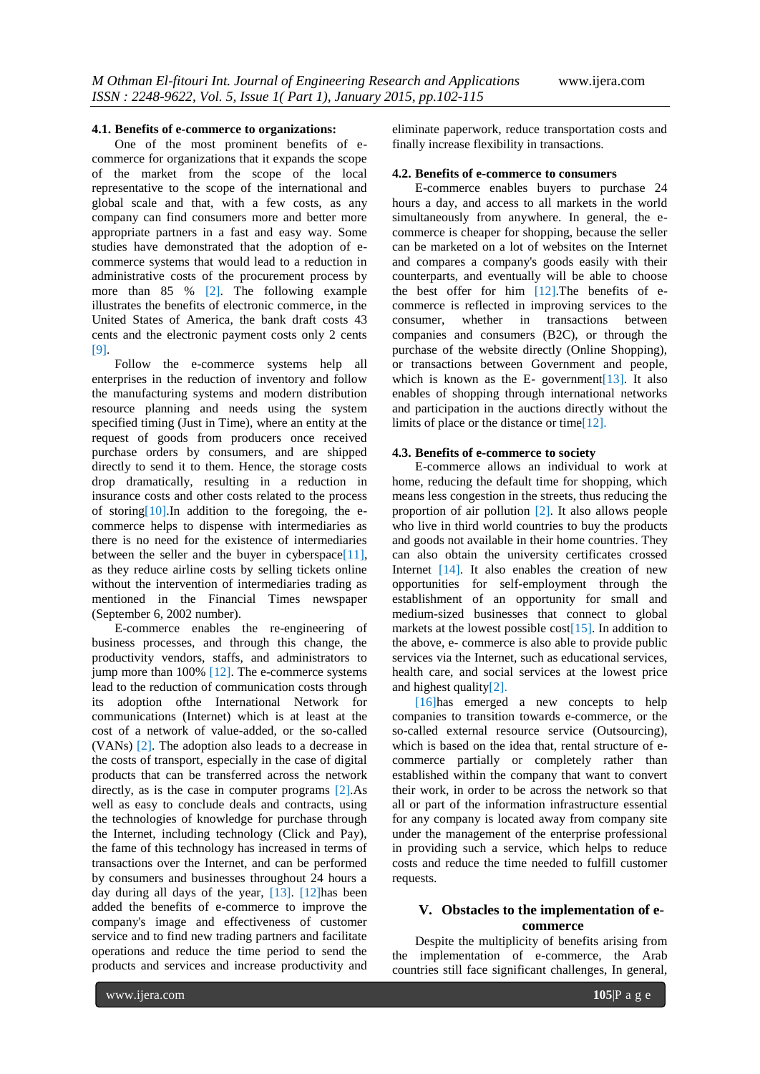#### **4.1. Benefits of e-commerce to organizations:**

One of the most prominent benefits of ecommerce for organizations that it expands the scope of the market from the scope of the local representative to the scope of the international and global scale and that, with a few costs, as any company can find consumers more and better more appropriate partners in a fast and easy way. Some studies have demonstrated that the adoption of ecommerce systems that would lead to a reduction in administrative costs of the procurement process by more than 85 % [2]. The following example illustrates the benefits of electronic commerce, in the United States of America, the bank draft costs 43 cents and the electronic payment costs only 2 cents [9].

Follow the e-commerce systems help all enterprises in the reduction of inventory and follow the manufacturing systems and modern distribution resource planning and needs using the system specified timing (Just in Time), where an entity at the request of goods from producers once received purchase orders by consumers, and are shipped directly to send it to them. Hence, the storage costs drop dramatically, resulting in a reduction in insurance costs and other costs related to the process of storing  $[10]$ . In addition to the foregoing, the ecommerce helps to dispense with intermediaries as there is no need for the existence of intermediaries between the seller and the buyer in cyberspace<sup>[11]</sup>. as they reduce airline costs by selling tickets online without the intervention of intermediaries trading as mentioned in the Financial Times newspaper (September 6, 2002 number).

E-commerce enables the re-engineering of business processes, and through this change, the productivity vendors, staffs, and administrators to jump more than 100% [12]. The e-commerce systems lead to the reduction of communication costs through its adoption ofthe International Network for communications (Internet) which is at least at the cost of a network of value-added, or the so-called (VANs) [2]. The adoption also leads to a decrease in the costs of transport, especially in the case of digital products that can be transferred across the network directly, as is the case in computer programs [2].As well as easy to conclude deals and contracts, using the technologies of knowledge for purchase through the Internet, including technology (Click and Pay), the fame of this technology has increased in terms of transactions over the Internet, and can be performed by consumers and businesses throughout 24 hours a day during all days of the year, [13]. [12]has been added the benefits of e-commerce to improve the company's image and effectiveness of customer service and to find new trading partners and facilitate operations and reduce the time period to send the products and services and increase productivity and

eliminate paperwork, reduce transportation costs and finally increase flexibility in transactions.

#### **4.2. Benefits of e-commerce to consumers**

E-commerce enables buyers to purchase 24 hours a day, and access to all markets in the world simultaneously from anywhere. In general, the ecommerce is cheaper for shopping, because the seller can be marketed on a lot of websites on the Internet and compares a company's goods easily with their counterparts, and eventually will be able to choose the best offer for him  $[12]$ . The benefits of ecommerce is reflected in improving services to the consumer, whether in transactions between companies and consumers (B2C), or through the purchase of the website directly (Online Shopping), or transactions between Government and people, which is known as the E- government [13]. It also enables of shopping through international networks and participation in the auctions directly without the limits of place or the distance or time[12].

### **4.3. Benefits of e-commerce to society**

E-commerce allows an individual to work at home, reducing the default time for shopping, which means less congestion in the streets, thus reducing the proportion of air pollution [2]. It also allows people who live in third world countries to buy the products and goods not available in their home countries. They can also obtain the university certificates crossed Internet [14]. It also enables the creation of new opportunities for self-employment through the establishment of an opportunity for small and medium-sized businesses that connect to global markets at the lowest possible  $cost[15]$ . In addition to the above, e- commerce is also able to provide public services via the Internet, such as educational services, health care, and social services at the lowest price and highest quality[2].

[16]has emerged a new concepts to help companies to transition towards e-commerce, or the so-called external resource service (Outsourcing), which is based on the idea that, rental structure of ecommerce partially or completely rather than established within the company that want to convert their work, in order to be across the network so that all or part of the information infrastructure essential for any company is located away from company site under the management of the enterprise professional in providing such a service, which helps to reduce costs and reduce the time needed to fulfill customer requests.

# **V. Obstacles to the implementation of ecommerce**

Despite the multiplicity of benefits arising from the implementation of e-commerce, the Arab countries still face significant challenges, In general,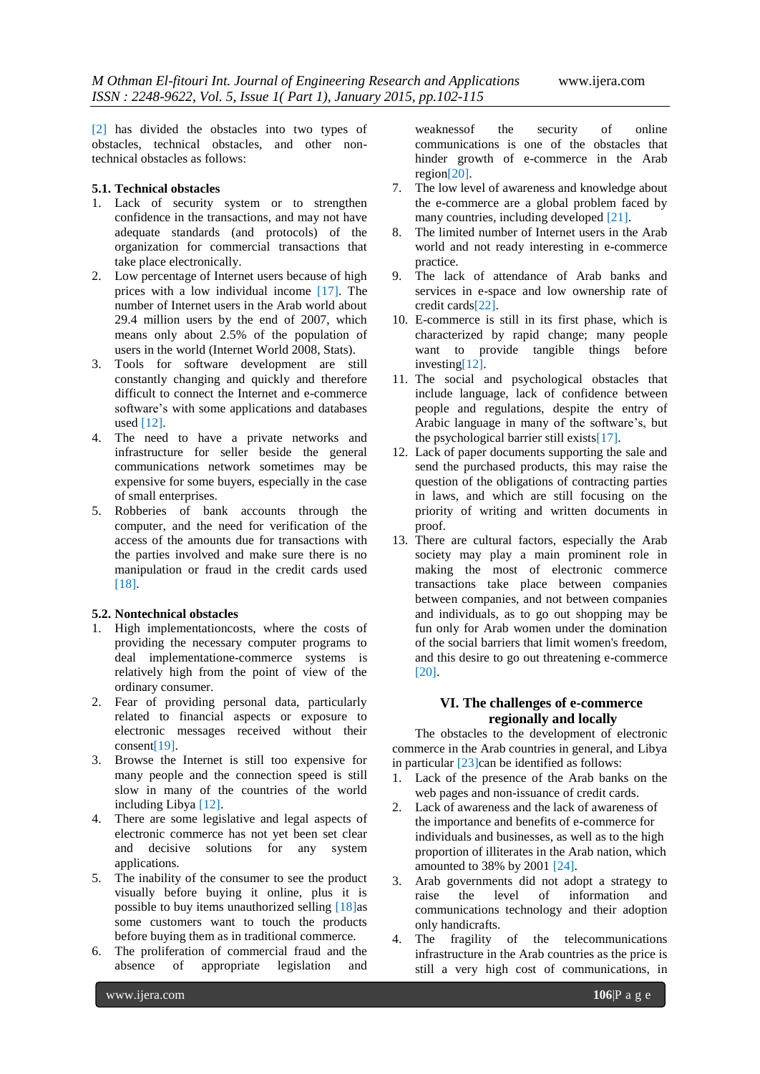[2] has divided the obstacles into two types of obstacles, technical obstacles, and other nontechnical obstacles as follows:

## **5.1. Technical obstacles**

- 1. Lack of security system or to strengthen confidence in the transactions, and may not have adequate standards (and protocols) of the organization for commercial transactions that take place electronically.
- 2. Low percentage of Internet users because of high prices with a low individual income [17]. The number of Internet users in the Arab world about 29.4 million users by the end of 2007, which means only about 2.5% of the population of users in the world (Internet World 2008, Stats).
- 3. Tools for software development are still constantly changing and quickly and therefore difficult to connect the Internet and e-commerce software"s with some applications and databases used [12].
- 4. The need to have a private networks and infrastructure for seller beside the general communications network sometimes may be expensive for some buyers, especially in the case of small enterprises.
- 5. Robberies of bank accounts through the computer, and the need for verification of the access of the amounts due for transactions with the parties involved and make sure there is no manipulation or fraud in the credit cards used [18].

### **5.2. Nontechnical obstacles**

- 1. High implementationcosts, where the costs of providing the necessary computer programs to deal implementatione-commerce systems is relatively high from the point of view of the ordinary consumer.
- 2. Fear of providing personal data, particularly related to financial aspects or exposure to electronic messages received without their  $\text{consent}[19]$ .
- 3. Browse the Internet is still too expensive for many people and the connection speed is still slow in many of the countries of the world including Libya [12].
- 4. There are some legislative and legal aspects of electronic commerce has not yet been set clear and decisive solutions for any system applications.
- 5. The inability of the consumer to see the product visually before buying it online, plus it is possible to buy items unauthorized selling [18]as some customers want to touch the products before buying them as in traditional commerce.
- 6. The proliferation of commercial fraud and the absence of appropriate legislation and

weaknessof the security of online communications is one of the obstacles that hinder growth of e-commerce in the Arab region[20].

- 7. The low level of awareness and knowledge about the e-commerce are a global problem faced by many countries, including developed [21].
- 8. The limited number of Internet users in the Arab world and not ready interesting in e-commerce practice.
- 9. The lack of attendance of Arab banks and services in e-space and low ownership rate of credit cards[22].
- 10. E-commerce is still in its first phase, which is characterized by rapid change; many people want to provide tangible things before investing[12].
- 11. The social and psychological obstacles that include language, lack of confidence between people and regulations, despite the entry of Arabic language in many of the software"s, but the psychological barrier still exists[17].
- 12. Lack of paper documents supporting the sale and send the purchased products, this may raise the question of the obligations of contracting parties in laws, and which are still focusing on the priority of writing and written documents in proof.
- 13. There are cultural factors, especially the Arab society may play a main prominent role in making the most of electronic commerce transactions take place between companies between companies, and not between companies and individuals, as to go out shopping may be fun only for Arab women under the domination of the social barriers that limit women's freedom, and this desire to go out threatening e-commerce [20].

### **VI. The challenges of e-commerce regionally and locally**

The obstacles to the development of electronic commerce in the Arab countries in general, and Libya in particular  $[23]$ can be identified as follows:

- 1. Lack of the presence of the Arab banks on the web pages and non-issuance of credit cards.
- 2. Lack of awareness and the lack of awareness of the importance and benefits of e-commerce for individuals and businesses, as well as to the high proportion of illiterates in the Arab nation, which amounted to 38% by 2001 [24].
- 3. Arab governments did not adopt a strategy to raise the level of information and communications technology and their adoption only handicrafts.
- 4. The fragility of the telecommunications infrastructure in the Arab countries as the price is still a very high cost of communications, in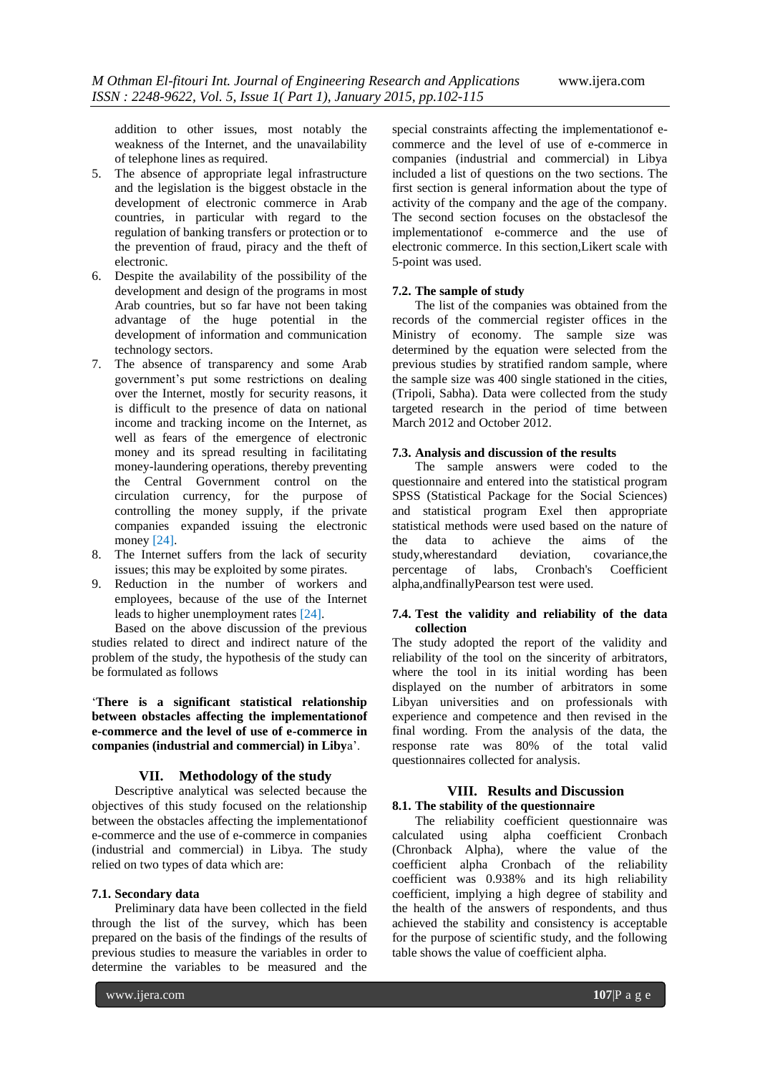addition to other issues, most notably the weakness of the Internet, and the unavailability of telephone lines as required.

- 5. The absence of appropriate legal infrastructure and the legislation is the biggest obstacle in the development of electronic commerce in Arab countries, in particular with regard to the regulation of banking transfers or protection or to the prevention of fraud, piracy and the theft of electronic.
- 6. Despite the availability of the possibility of the development and design of the programs in most Arab countries, but so far have not been taking advantage of the huge potential in the development of information and communication technology sectors.
- 7. The absence of transparency and some Arab government"s put some restrictions on dealing over the Internet, mostly for security reasons, it is difficult to the presence of data on national income and tracking income on the Internet, as well as fears of the emergence of electronic money and its spread resulting in facilitating money-laundering operations, thereby preventing the Central Government control on the circulation currency, for the purpose of controlling the money supply, if the private companies expanded issuing the electronic money [24].
- 8. The Internet suffers from the lack of security issues; this may be exploited by some pirates.
- 9. Reduction in the number of workers and employees, because of the use of the Internet leads to higher unemployment rates [24].

Based on the above discussion of the previous studies related to direct and indirect nature of the problem of the study, the hypothesis of the study can be formulated as follows

"**There is a significant statistical relationship between obstacles affecting the implementationof e-commerce and the level of use of e-commerce in companies (industrial and commercial) in Liby**a".

### **VII. Methodology of the study**

Descriptive analytical was selected because the objectives of this study focused on the relationship between the obstacles affecting the implementationof e-commerce and the use of e-commerce in companies (industrial and commercial) in Libya. The study relied on two types of data which are:

#### **7.1. Secondary data**

Preliminary data have been collected in the field through the list of the survey, which has been prepared on the basis of the findings of the results of previous studies to measure the variables in order to determine the variables to be measured and the

special constraints affecting the implementationof ecommerce and the level of use of e-commerce in companies (industrial and commercial) in Libya included a list of questions on the two sections. The first section is general information about the type of activity of the company and the age of the company. The second section focuses on the obstaclesof the implementationof e-commerce and the use of electronic commerce. In this section,Likert scale with 5-point was used.

### **7.2. The sample of study**

The list of the companies was obtained from the records of the commercial register offices in the Ministry of economy. The sample size was determined by the equation were selected from the previous studies by stratified random sample, where the sample size was 400 single stationed in the cities, (Tripoli, Sabha). Data were collected from the study targeted research in the period of time between March 2012 and October 2012.

### **7.3. Analysis and discussion of the results**

The sample answers were coded to the questionnaire and entered into the statistical program SPSS (Statistical Package for the Social Sciences) and statistical program Exel then appropriate statistical methods were used based on the nature of the data to achieve the aims of the study, where standard deviation. covariance, the study, where standard deviation. percentage of labs, Cronbach's Coefficient alpha,andfinallyPearson test were used.

### **7.4. Test the validity and reliability of the data collection**

The study adopted the report of the validity and reliability of the tool on the sincerity of arbitrators, where the tool in its initial wording has been displayed on the number of arbitrators in some Libyan universities and on professionals with experience and competence and then revised in the final wording. From the analysis of the data, the response rate was 80% of the total valid questionnaires collected for analysis.

### **VIII. Results and Discussion 8.1. The stability of the questionnaire**

The reliability coefficient questionnaire was calculated using alpha coefficient Cronbach (Chronback Alpha), where the value of the coefficient alpha Cronbach of the reliability coefficient was 0.938% and its high reliability coefficient, implying a high degree of stability and the health of the answers of respondents, and thus achieved the stability and consistency is acceptable for the purpose of scientific study, and the following table shows the value of coefficient alpha.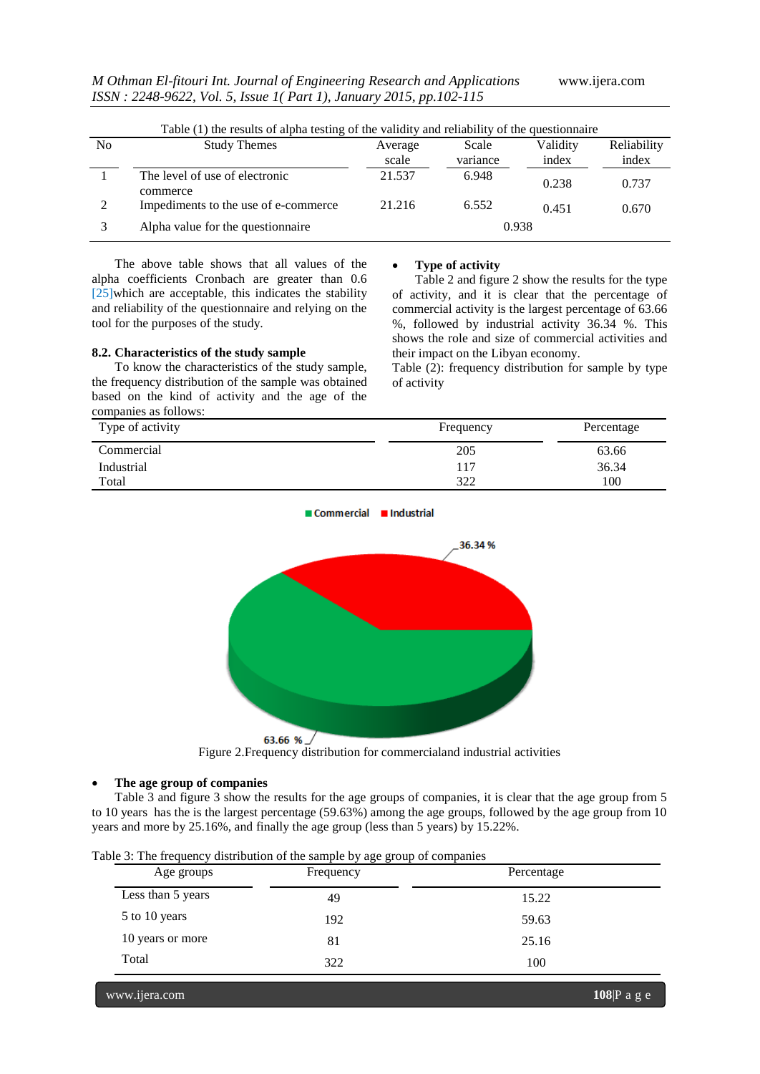|    | Table (1) the results of alpha testing of the validity and reliability of the questionnaire |                  |                   |                   |                      |
|----|---------------------------------------------------------------------------------------------|------------------|-------------------|-------------------|----------------------|
| No | <b>Study Themes</b>                                                                         | Average<br>scale | Scale<br>variance | Validity<br>index | Reliability<br>index |
|    | The level of use of electronic<br>commerce                                                  | 21.537           | 6.948             | 0.238             | 0.737                |
| 2  | Impediments to the use of e-commerce.                                                       | 21.216           | 6.552             | 0.451             | 0.670                |
|    | Alpha value for the question aire                                                           |                  |                   | 0.938             |                      |

The above table shows that all values of the alpha coefficients Cronbach are greater than 0.6 [25]which are acceptable, this indicates the stability and reliability of the questionnaire and relying on the tool for the purposes of the study.

#### **8.2. Characteristics of the study sample**

To know the characteristics of the study sample, the frequency distribution of the sample was obtained based on the kind of activity and the age of the companies as follows:

#### **Type of activity**

Table 2 and figure 2 show the results for the type of activity, and it is clear that the percentage of commercial activity is the largest percentage of 63.66 %, followed by industrial activity 36.34 %. This shows the role and size of commercial activities and their impact on the Libyan economy.

Table (2): frequency distribution for sample by type of activity

| Type of activity | Frequency | Percentage |  |
|------------------|-----------|------------|--|
| Commercial       | 205       | 63.66      |  |
| Industrial       | 117       | 36.34      |  |
| Total            | 322       | 100        |  |

Commercial Industrial



Figure 2.Frequency distribution for commercialand industrial activities

### **The age group of companies**

Table 3 and figure 3 show the results for the age groups of companies, it is clear that the age group from 5 to 10 years has the is the largest percentage (59.63%) among the age groups, followed by the age group from 10 years and more by 25.16%, and finally the age group (less than 5 years) by 15.22%.

| Age groups        | Frequency | Percentage |  |  |
|-------------------|-----------|------------|--|--|
| Less than 5 years | 49        | 15.22      |  |  |
| 5 to 10 years     | 192       | 59.63      |  |  |
| 10 years or more  | 81        | 25.16      |  |  |
| Total             | 322       | 100        |  |  |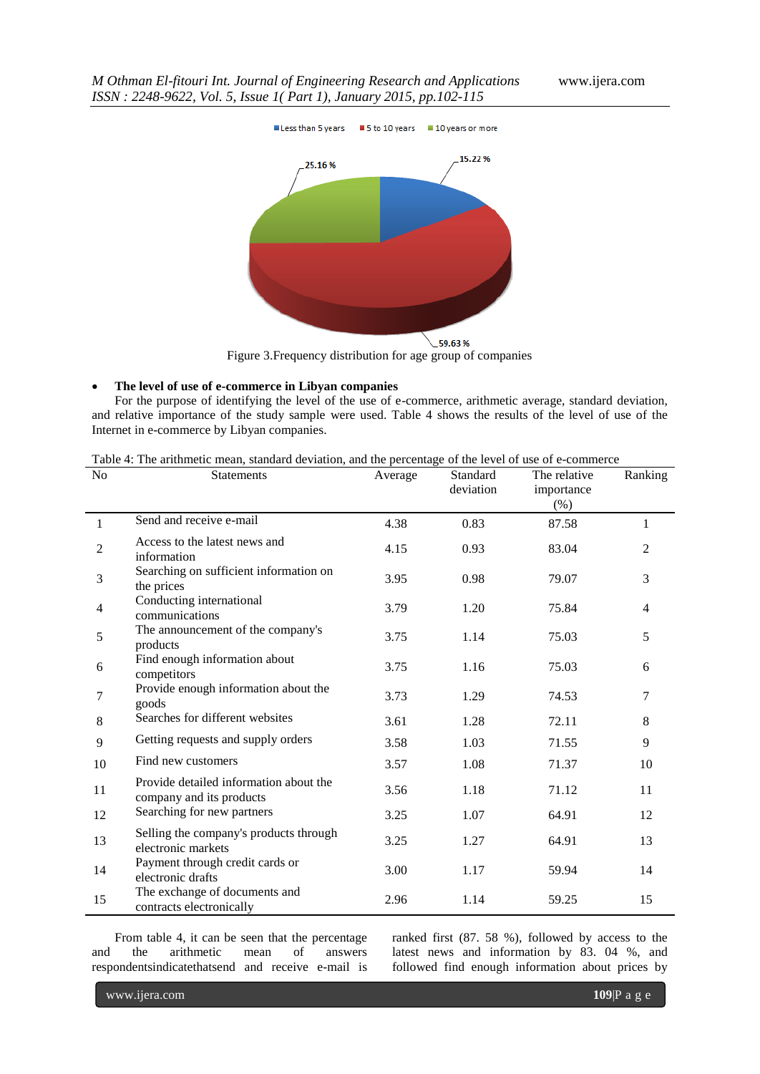

Figure 3.Frequency distribution for age group of companies

#### **The level of use of e-commerce in Libyan companies**

For the purpose of identifying the level of the use of e-commerce, arithmetic average, standard deviation, and relative importance of the study sample were used. Table 4 shows the results of the level of use of the Internet in e-commerce by Libyan companies.

| Table 4: The arithmetic mean, standard deviation, and the percentage of the level of use of e-commerce |  |  |
|--------------------------------------------------------------------------------------------------------|--|--|
|                                                                                                        |  |  |

| N <sub>o</sub> | <b>Statements</b>                                                  | Average | Standard<br>deviation | The relative<br>importance<br>$(\%)$ | Ranking        |
|----------------|--------------------------------------------------------------------|---------|-----------------------|--------------------------------------|----------------|
| $\mathbf{1}$   | Send and receive e-mail                                            | 4.38    | 0.83                  | 87.58                                | 1              |
| $\overline{2}$ | Access to the latest news and<br>information                       | 4.15    | 0.93                  | 83.04                                | 2              |
| 3              | Searching on sufficient information on<br>the prices               | 3.95    | 0.98                  | 79.07                                | 3              |
| $\overline{4}$ | Conducting international<br>communications                         | 3.79    | 1.20                  | 75.84                                | $\overline{4}$ |
| 5              | The announcement of the company's<br>products                      | 3.75    | 1.14                  | 75.03                                | 5              |
| 6              | Find enough information about<br>competitors                       | 3.75    | 1.16                  | 75.03                                | 6              |
| 7              | Provide enough information about the<br>goods                      | 3.73    | 1.29                  | 74.53                                | 7              |
| 8              | Searches for different websites                                    | 3.61    | 1.28                  | 72.11                                | 8              |
| 9              | Getting requests and supply orders                                 | 3.58    | 1.03                  | 71.55                                | 9              |
| 10             | Find new customers                                                 | 3.57    | 1.08                  | 71.37                                | 10             |
| 11             | Provide detailed information about the<br>company and its products | 3.56    | 1.18                  | 71.12                                | 11             |
| 12             | Searching for new partners                                         | 3.25    | 1.07                  | 64.91                                | 12             |
| 13             | Selling the company's products through<br>electronic markets       | 3.25    | 1.27                  | 64.91                                | 13             |
| 14             | Payment through credit cards or<br>electronic drafts               | 3.00    | 1.17                  | 59.94                                | 14             |
| 15             | The exchange of documents and<br>contracts electronically          | 2.96    | 1.14                  | 59.25                                | 15             |

From table 4, it can be seen that the percentage and the arithmetic mean of answers respondentsindicatethatsend and receive e-mail is ranked first (87. 58 %), followed by access to the latest news and information by 83. 04 %, and followed find enough information about prices by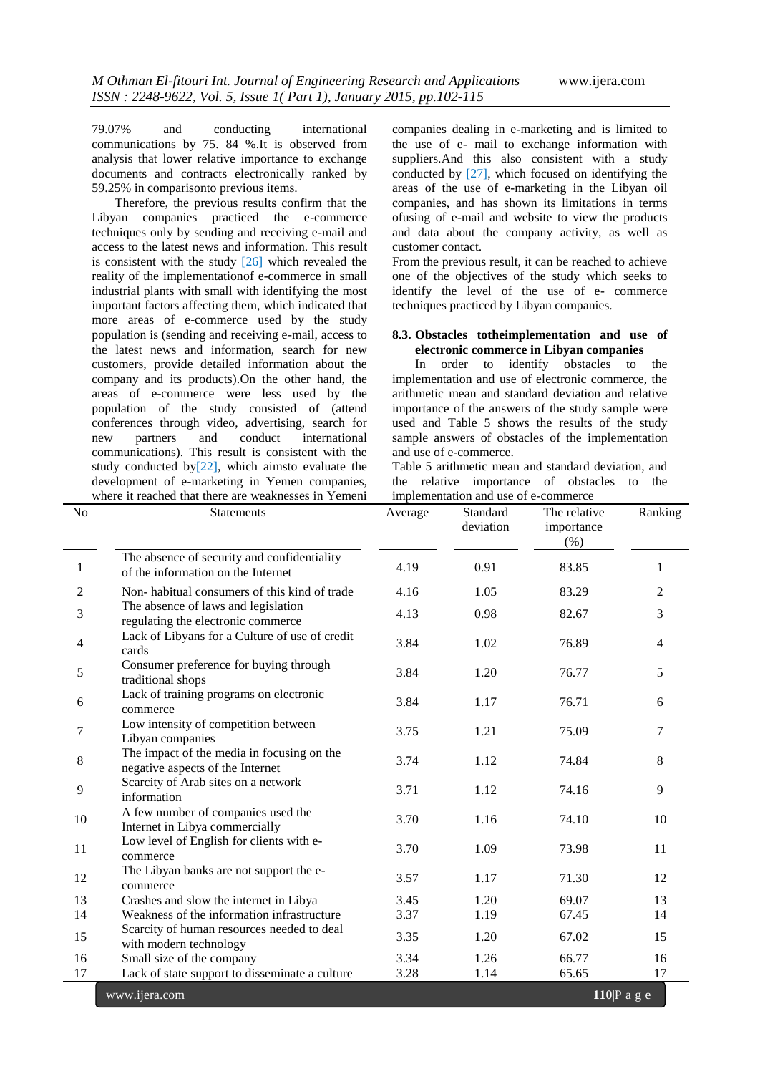79.07% and conducting international communications by 75. 84 %.It is observed from analysis that lower relative importance to exchange documents and contracts electronically ranked by 59.25% in comparisonto previous items.

Therefore, the previous results confirm that the Libyan companies practiced the e-commerce techniques only by sending and receiving e-mail and access to the latest news and information. This result is consistent with the study [26] which revealed the reality of the implementationof e-commerce in small industrial plants with small with identifying the most important factors affecting them, which indicated that more areas of e-commerce used by the study population is (sending and receiving e-mail, access to the latest news and information, search for new customers, provide detailed information about the company and its products).On the other hand, the areas of e-commerce were less used by the population of the study consisted of (attend conferences through video, advertising, search for new partners and conduct international communications). This result is consistent with the study conducted by $[22]$ , which aimsto evaluate the development of e-marketing in Yemen companies, where it reached that there are weaknesses in Yemeni

companies dealing in e-marketing and is limited to the use of e- mail to exchange information with suppliers.And this also consistent with a study conducted by [27], which focused on identifying the areas of the use of e-marketing in the Libyan oil companies, and has shown its limitations in terms ofusing of e-mail and website to view the products and data about the company activity, as well as customer contact.

From the previous result, it can be reached to achieve one of the objectives of the study which seeks to identify the level of the use of e- commerce techniques practiced by Libyan companies.

#### **8.3. Obstacles totheimplementation and use of electronic commerce in Libyan companies**

In order to identify obstacles to the implementation and use of electronic commerce, the arithmetic mean and standard deviation and relative importance of the answers of the study sample were used and Table 5 shows the results of the study sample answers of obstacles of the implementation and use of e-commerce.

Table 5 arithmetic mean and standard deviation, and the relative importance of obstacles to the implementation and use of e-commerce

| N <sub>o</sub> | <b>Statements</b>                                                                 | Average | Standard<br>deviation | The relative<br>importance<br>(% ) | Ranking       |
|----------------|-----------------------------------------------------------------------------------|---------|-----------------------|------------------------------------|---------------|
| 1              | The absence of security and confidentiality<br>of the information on the Internet | 4.19    | 0.91                  | 83.85                              | 1             |
| $\overline{2}$ | Non-habitual consumers of this kind of trade                                      | 4.16    | 1.05                  | 83.29                              | 2             |
| 3              | The absence of laws and legislation<br>regulating the electronic commerce         | 4.13    | 0.98                  | 82.67                              | 3             |
| 4              | Lack of Libyans for a Culture of use of credit<br>cards                           | 3.84    | 1.02                  | 76.89                              | 4             |
| 5              | Consumer preference for buying through<br>traditional shops                       | 3.84    | 1.20                  | 76.77                              | 5             |
| 6              | Lack of training programs on electronic<br>commerce                               | 3.84    | 1.17                  | 76.71                              | 6             |
| 7              | Low intensity of competition between<br>Libyan companies                          | 3.75    | 1.21                  | 75.09                              | 7             |
| 8              | The impact of the media in focusing on the<br>negative aspects of the Internet    | 3.74    | 1.12                  | 74.84                              | 8             |
| 9              | Scarcity of Arab sites on a network<br>information                                | 3.71    | 1.12                  | 74.16                              | 9             |
| 10             | A few number of companies used the<br>Internet in Libya commercially              | 3.70    | 1.16                  | 74.10                              | 10            |
| 11             | Low level of English for clients with e-<br>commerce                              | 3.70    | 1.09                  | 73.98                              | 11            |
| 12             | The Libyan banks are not support the e-<br>commerce                               | 3.57    | 1.17                  | 71.30                              | 12            |
| 13             | Crashes and slow the internet in Libya                                            | 3.45    | 1.20                  | 69.07                              | 13            |
| 14             | Weakness of the information infrastructure                                        | 3.37    | 1.19                  | 67.45                              | 14            |
| 15             | Scarcity of human resources needed to deal<br>with modern technology              | 3.35    | 1.20                  | 67.02                              | 15            |
| 16             | Small size of the company                                                         | 3.34    | 1.26                  | 66.77                              | 16            |
| 17             | Lack of state support to disseminate a culture                                    | 3.28    | 1.14                  | 65.65                              | 17            |
|                | www.ijera.com                                                                     |         |                       |                                    | $110 P$ a g e |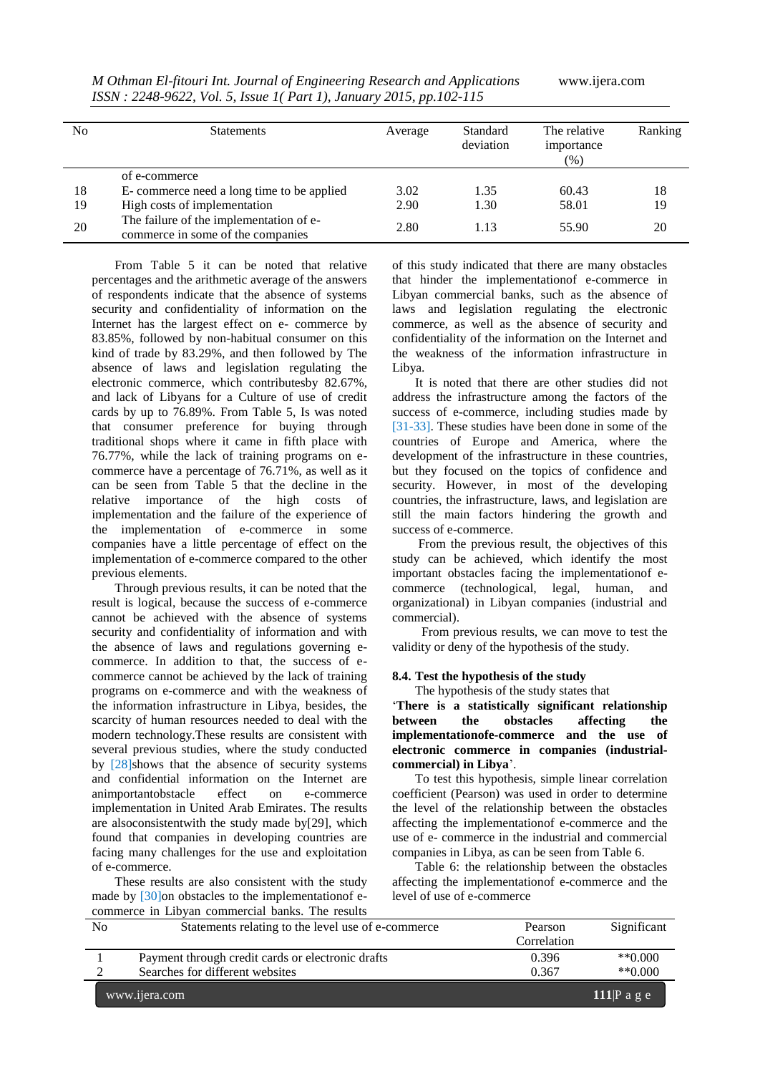| No | <b>Statements</b>                                                            | Average | Standard<br>deviation | The relative<br>importance<br>(%) | Ranking |
|----|------------------------------------------------------------------------------|---------|-----------------------|-----------------------------------|---------|
|    | of e-commerce                                                                |         |                       |                                   |         |
| 18 | E-commerce need a long time to be applied                                    | 3.02    | 1.35                  | 60.43                             | 18      |
| 19 | High costs of implementation                                                 | 2.90    | 1.30                  | 58.01                             | 19      |
| 20 | The failure of the implementation of e-<br>commerce in some of the companies | 2.80    | 1.13                  | 55.90                             | 20      |

*M Othman El-fitouri Int. Journal of Engineering Research and Applications* www.ijera.com *ISSN : 2248-9622, Vol. 5, Issue 1( Part 1), January 2015, pp.102-115*

From Table 5 it can be noted that relative percentages and the arithmetic average of the answers of respondents indicate that the absence of systems security and confidentiality of information on the Internet has the largest effect on e- commerce by 83.85%, followed by non-habitual consumer on this kind of trade by 83.29%, and then followed by The absence of laws and legislation regulating the electronic commerce, which contributesby 82.67%, and lack of Libyans for a Culture of use of credit cards by up to 76.89%. From Table 5, Is was noted that consumer preference for buying through traditional shops where it came in fifth place with 76.77%, while the lack of training programs on ecommerce have a percentage of 76.71%, as well as it can be seen from Table 5 that the decline in the relative importance of the high costs of implementation and the failure of the experience of the implementation of e-commerce in some companies have a little percentage of effect on the implementation of e-commerce compared to the other previous elements.

Through previous results, it can be noted that the result is logical, because the success of e-commerce cannot be achieved with the absence of systems security and confidentiality of information and with the absence of laws and regulations governing ecommerce. In addition to that, the success of ecommerce cannot be achieved by the lack of training programs on e-commerce and with the weakness of the information infrastructure in Libya, besides, the scarcity of human resources needed to deal with the modern technology.These results are consistent with several previous studies, where the study conducted by [28]shows that the absence of security systems and confidential information on the Internet are animportantobstacle effect on e-commerce implementation in United Arab Emirates. The results are alsoconsistentwith the study made by[29], which found that companies in developing countries are facing many challenges for the use and exploitation of e-commerce.

These results are also consistent with the study made by [30]on obstacles to the implementationof ecommerce in Libyan commercial banks. The results

of this study indicated that there are many obstacles that hinder the implementationof e-commerce in Libyan commercial banks, such as the absence of laws and legislation regulating the electronic commerce, as well as the absence of security and confidentiality of the information on the Internet and the weakness of the information infrastructure in Libya.

It is noted that there are other studies did not address the infrastructure among the factors of the success of e-commerce, including studies made by [31-33]. These studies have been done in some of the countries of Europe and America, where the development of the infrastructure in these countries, but they focused on the topics of confidence and security. However, in most of the developing countries, the infrastructure, laws, and legislation are still the main factors hindering the growth and success of e-commerce.

From the previous result, the objectives of this study can be achieved, which identify the most important obstacles facing the implementationof ecommerce (technological, legal, human, and organizational) in Libyan companies (industrial and commercial).

 From previous results, we can move to test the validity or deny of the hypothesis of the study.

### **8.4. Test the hypothesis of the study**

The hypothesis of the study states that

"**There is a statistically significant relationship between the obstacles affecting the implementationofe-commerce and the use of electronic commerce in companies (industrialcommercial) in Libya**".

To test this hypothesis, simple linear correlation coefficient (Pearson) was used in order to determine the level of the relationship between the obstacles affecting the implementationof e-commerce and the use of e- commerce in the industrial and commercial companies in Libya, as can be seen from Table 6.

Table 6: the relationship between the obstacles affecting the implementationof e-commerce and the level of use of e-commerce

| No | Statements relating to the level use of e-commerce | Pearson     | Significant            |
|----|----------------------------------------------------|-------------|------------------------|
|    |                                                    | Correlation |                        |
|    | Payment through credit cards or electronic drafts  | 0.396       | $*$ $(0.000)$          |
|    | Searches for different websites                    | 0.367       | $*$ $(0.000)$          |
|    | www.ijera.com                                      |             | 111 $\mathbb{P}$ a g e |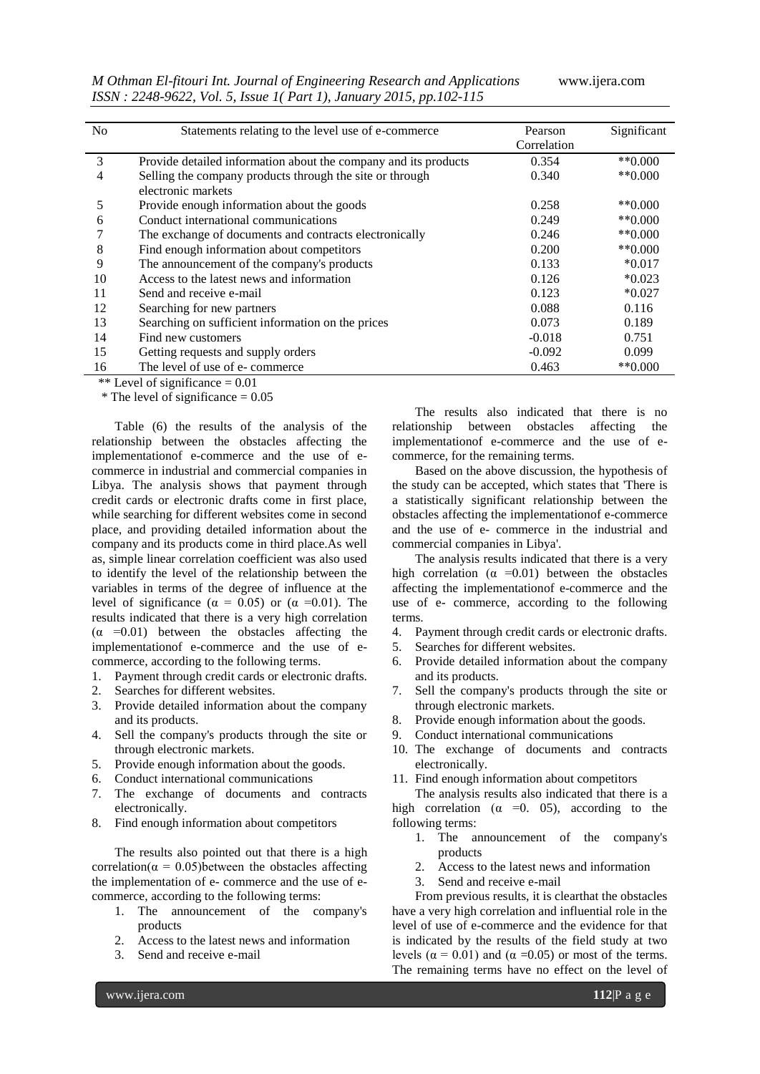*M Othman El-fitouri Int. Journal of Engineering Research and Applications* www.ijera.com *ISSN : 2248-9622, Vol. 5, Issue 1( Part 1), January 2015, pp.102-115*

| N <sub>0</sub> | Statements relating to the level use of e-commerce              | Pearson     | Significant          |
|----------------|-----------------------------------------------------------------|-------------|----------------------|
|                |                                                                 | Correlation |                      |
| 3              | Provide detailed information about the company and its products | 0.354       | $*$ *0.000           |
| 4              | Selling the company products through the site or through        | 0.340       | $*$ *0.000           |
|                | electronic markets                                              |             |                      |
| 5              | Provide enough information about the goods                      | 0.258       | $*$ *0.000           |
| 6              | Conduct international communications                            | 0.249       | $*$ <sup>0.000</sup> |
|                | The exchange of documents and contracts electronically          | 0.246       | $*$ $(0.000)$        |
| 8              | Find enough information about competitors                       | 0.200       | $*$ *0.000           |
| 9              | The announcement of the company's products                      | 0.133       | $*0.017$             |
| 10             | Access to the latest news and information                       | 0.126       | $*0.023$             |
| 11             | Send and receive e-mail                                         | 0.123       | $*0.027$             |
| 12             | Searching for new partners                                      | 0.088       | 0.116                |
| 13             | Searching on sufficient information on the prices               | 0.073       | 0.189                |
| 14             | Find new customers                                              | $-0.018$    | 0.751                |
| 15             | Getting requests and supply orders                              | $-0.092$    | 0.099                |
| 16             | The level of use of e-commerce                                  | 0.463       | $*$ *0.000           |

\*\* Level of significance  $= 0.01$ 

 $*$  The level of significance = 0.05

Table (6) the results of the analysis of the relationship between the obstacles affecting the implementationof e-commerce and the use of ecommerce in industrial and commercial companies in Libya. The analysis shows that payment through credit cards or electronic drafts come in first place, while searching for different websites come in second place, and providing detailed information about the company and its products come in third place.As well as, simple linear correlation coefficient was also used to identify the level of the relationship between the variables in terms of the degree of influence at the level of significance ( $\alpha = 0.05$ ) or ( $\alpha = 0.01$ ). The results indicated that there is a very high correlation  $(\alpha = 0.01)$  between the obstacles affecting the implementationof e-commerce and the use of ecommerce, according to the following terms.

- 1. Payment through credit cards or electronic drafts.
- 2. Searches for different websites.
- 3. Provide detailed information about the company and its products.
- 4. Sell the company's products through the site or through electronic markets.
- 5. Provide enough information about the goods.
- 6. Conduct international communications
- 7. The exchange of documents and contracts electronically.
- 8. Find enough information about competitors

The results also pointed out that there is a high correlation( $\alpha = 0.05$ )between the obstacles affecting the implementation of e- commerce and the use of ecommerce, according to the following terms:

- 1. The announcement of the company's products
- 2. Access to the latest news and information
- 3. Send and receive e-mail

The results also indicated that there is no relationship between obstacles affecting the implementationof e-commerce and the use of ecommerce, for the remaining terms.

Based on the above discussion, the hypothesis of the study can be accepted, which states that 'There is a statistically significant relationship between the obstacles affecting the implementationof e-commerce and the use of e- commerce in the industrial and commercial companies in Libya'.

The analysis results indicated that there is a very high correlation ( $\alpha$  =0.01) between the obstacles affecting the implementationof e-commerce and the use of e- commerce, according to the following terms.

- 4. Payment through credit cards or electronic drafts.
- 5. Searches for different websites.
- 6. Provide detailed information about the company and its products.
- 7. Sell the company's products through the site or through electronic markets.
- 8. Provide enough information about the goods.
- 9. Conduct international communications
- 10. The exchange of documents and contracts electronically.
- 11. Find enough information about competitors

The analysis results also indicated that there is a high correlation ( $\alpha$  =0. 05), according to the following terms:

- 1. The announcement of the company's products
- 2. Access to the latest news and information
- 3. Send and receive e-mail

From previous results, it is clearthat the obstacles have a very high correlation and influential role in the level of use of e-commerce and the evidence for that is indicated by the results of the field study at two levels ( $\alpha$  = 0.01) and ( $\alpha$  = 0.05) or most of the terms. The remaining terms have no effect on the level of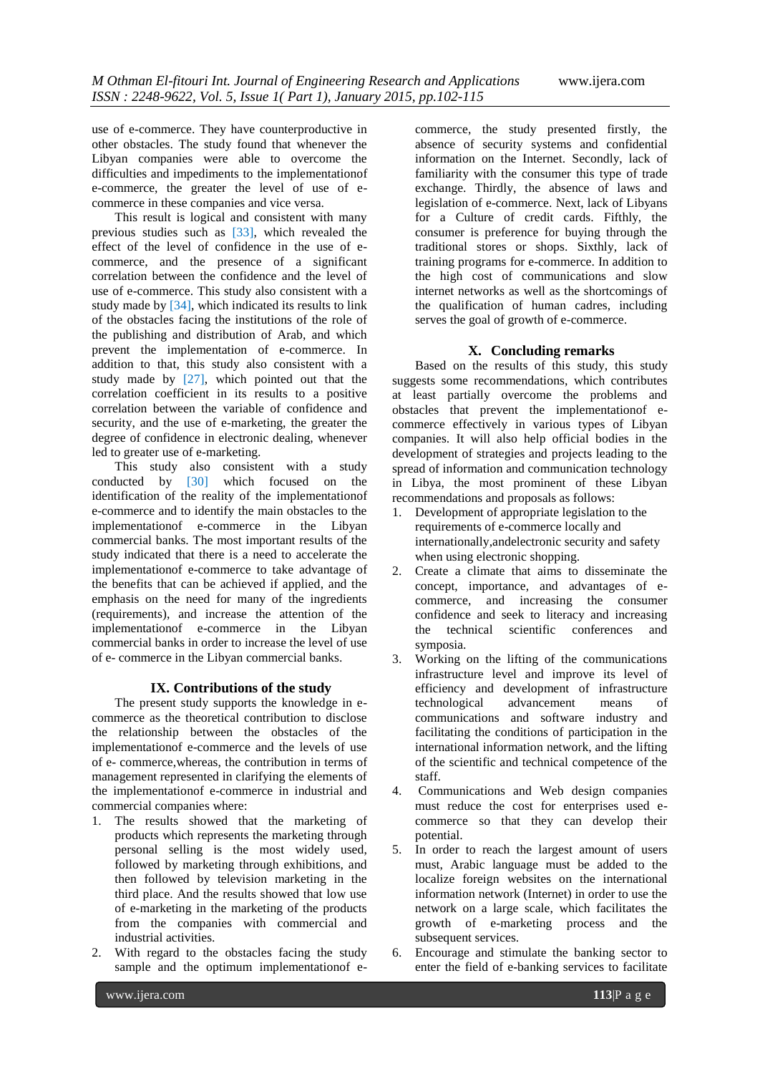use of e-commerce. They have counterproductive in other obstacles. The study found that whenever the Libyan companies were able to overcome the difficulties and impediments to the implementationof e-commerce, the greater the level of use of ecommerce in these companies and vice versa.

This result is logical and consistent with many previous studies such as [33], which revealed the effect of the level of confidence in the use of ecommerce, and the presence of a significant correlation between the confidence and the level of use of e-commerce. This study also consistent with a study made by [34], which indicated its results to link of the obstacles facing the institutions of the role of the publishing and distribution of Arab, and which prevent the implementation of e-commerce. In addition to that, this study also consistent with a study made by [27], which pointed out that the correlation coefficient in its results to a positive correlation between the variable of confidence and security, and the use of e-marketing, the greater the degree of confidence in electronic dealing, whenever led to greater use of e-marketing.

This study also consistent with a study conducted by [30] which focused on the identification of the reality of the implementationof e-commerce and to identify the main obstacles to the implementationof e-commerce in the Libyan commercial banks. The most important results of the study indicated that there is a need to accelerate the implementationof e-commerce to take advantage of the benefits that can be achieved if applied, and the emphasis on the need for many of the ingredients (requirements), and increase the attention of the implementationof e-commerce in the Libyan commercial banks in order to increase the level of use of e- commerce in the Libyan commercial banks.

### **IX. Contributions of the study**

The present study supports the knowledge in ecommerce as the theoretical contribution to disclose the relationship between the obstacles of the implementationof e-commerce and the levels of use of e- commerce,whereas, the contribution in terms of management represented in clarifying the elements of the implementationof e-commerce in industrial and commercial companies where:

- 1. The results showed that the marketing of products which represents the marketing through personal selling is the most widely used, followed by marketing through exhibitions, and then followed by television marketing in the third place. And the results showed that low use of e-marketing in the marketing of the products from the companies with commercial and industrial activities.
- 2. With regard to the obstacles facing the study sample and the optimum implementationof e-

commerce, the study presented firstly, the absence of security systems and confidential information on the Internet. Secondly, lack of familiarity with the consumer this type of trade exchange. Thirdly, the absence of laws and legislation of e-commerce. Next, lack of Libyans for a Culture of credit cards. Fifthly, the consumer is preference for buying through the traditional stores or shops. Sixthly, lack of training programs for e-commerce. In addition to the high cost of communications and slow internet networks as well as the shortcomings of the qualification of human cadres, including serves the goal of growth of e-commerce.

### **X. Concluding remarks**

Based on the results of this study, this study suggests some recommendations, which contributes at least partially overcome the problems and obstacles that prevent the implementationof ecommerce effectively in various types of Libyan companies. It will also help official bodies in the development of strategies and projects leading to the spread of information and communication technology in Libya, the most prominent of these Libyan recommendations and proposals as follows:

- 1. Development of appropriate legislation to the requirements of e-commerce locally and internationally,andelectronic security and safety when using electronic shopping.
- 2. Create a climate that aims to disseminate the concept, importance, and advantages of ecommerce, and increasing the consumer confidence and seek to literacy and increasing the technical scientific conferences and symposia.
- 3. Working on the lifting of the communications infrastructure level and improve its level of efficiency and development of infrastructure technological advancement means of communications and software industry and facilitating the conditions of participation in the international information network, and the lifting of the scientific and technical competence of the staff.
- 4. Communications and Web design companies must reduce the cost for enterprises used ecommerce so that they can develop their potential.
- 5. In order to reach the largest amount of users must, Arabic language must be added to the localize foreign websites on the international information network (Internet) in order to use the network on a large scale, which facilitates the growth of e-marketing process and the subsequent services.
- 6. Encourage and stimulate the banking sector to enter the field of e-banking services to facilitate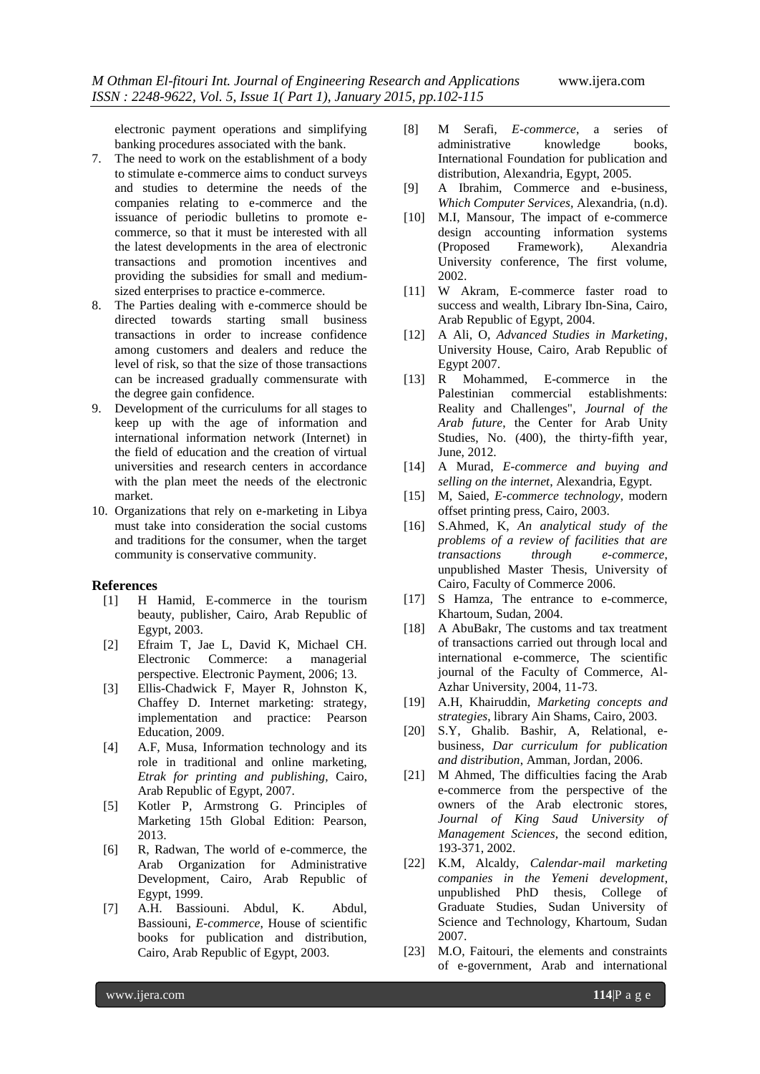electronic payment operations and simplifying banking procedures associated with the bank.

- 7. The need to work on the establishment of a body to stimulate e-commerce aims to conduct surveys and studies to determine the needs of the companies relating to e-commerce and the issuance of periodic bulletins to promote ecommerce, so that it must be interested with all the latest developments in the area of electronic transactions and promotion incentives and providing the subsidies for small and mediumsized enterprises to practice e-commerce.
- 8. The Parties dealing with e-commerce should be directed towards starting small business transactions in order to increase confidence among customers and dealers and reduce the level of risk, so that the size of those transactions can be increased gradually commensurate with the degree gain confidence.
- 9. Development of the curriculums for all stages to keep up with the age of information and international information network (Internet) in the field of education and the creation of virtual universities and research centers in accordance with the plan meet the needs of the electronic market.
- 10. Organizations that rely on e-marketing in Libya must take into consideration the social customs and traditions for the consumer, when the target community is conservative community.

#### **References**

- [1] H Hamid, E-commerce in the tourism beauty, publisher, Cairo, Arab Republic of Egypt, 2003.
- [2] Efraim T, Jae L, David K, Michael CH. Electronic Commerce: a managerial perspective. Electronic Payment, 2006; 13.
- [3] Ellis-Chadwick F, Mayer R, Johnston K, Chaffey D. Internet marketing: strategy, implementation and practice: Pearson Education, 2009.
- [4] A.F, Musa, Information technology and its role in traditional and online marketing, *Etrak for printing and publishing*, Cairo, Arab Republic of Egypt, 2007.
- [5] Kotler P, Armstrong G. Principles of Marketing 15th Global Edition: Pearson, 2013.
- [6] R, Radwan, The world of e-commerce, the Arab Organization for Administrative Development, Cairo, Arab Republic of Egypt, 1999.
- [7] A.H. Bassiouni. Abdul, K. Abdul, Bassiouni, *E-commerce*, House of scientific books for publication and distribution, Cairo, Arab Republic of Egypt, 2003.
- [8] M Serafi, *E-commerce*, a series of administrative knowledge books, International Foundation for publication and distribution, Alexandria, Egypt, 2005.
- [9] A Ibrahim, Commerce and e-business, *Which Computer Services,* Alexandria, (n.d).
- [10] M.I, Mansour, The impact of e-commerce design accounting information systems (Proposed Framework), Alexandria University conference, The first volume, 2002.
- [11] W Akram, E-commerce faster road to success and wealth, Library Ibn-Sina*,* Cairo, Arab Republic of Egypt, 2004.
- [12] A Ali, O, *Advanced Studies in Marketing*, University House, Cairo, Arab Republic of Egypt 2007.
- [13] R Mohammed, E-commerce in the Palestinian commercial establishments: Reality and Challenges", *Journal of the Arab future*, the Center for Arab Unity Studies, No. (400), the thirty-fifth year, June, 2012.
- [14] A Murad, *E-commerce and buying and selling on the internet*, Alexandria, Egypt.
- [15] M, Saied, *E-commerce technology*, modern offset printing press, Cairo, 2003.
- [16] S.Ahmed, K, *An analytical study of the problems of a review of facilities that are transactions through e-commerce*, unpublished Master Thesis, University of Cairo, Faculty of Commerce 2006.
- [17] S Hamza, The entrance to e-commerce, Khartoum, Sudan, 2004.
- [18] A AbuBakr, The customs and tax treatment of transactions carried out through local and international e-commerce, The scientific journal of the Faculty of Commerce, Al-Azhar University, 2004, 11-73.
- [19] A.H, Khairuddin, *Marketing concepts and strategies*, library Ain Shams, Cairo, 2003.
- [20] S.Y, Ghalib. Bashir, A, Relational, ebusiness, *Dar curriculum for publication and distribution*, Amman, Jordan, 2006.
- [21] M Ahmed, The difficulties facing the Arab e-commerce from the perspective of the owners of the Arab electronic stores, *Journal of King Saud University of Management Sciences*, the second edition, 193-371, 2002.
- [22] K.M, Alcaldy, *Calendar-mail marketing companies in the Yemeni development*, unpublished PhD thesis, College of Graduate Studies, Sudan University of Science and Technology, Khartoum, Sudan 2007.
- [23] M.O, Faitouri, the elements and constraints of e-government, Arab and international